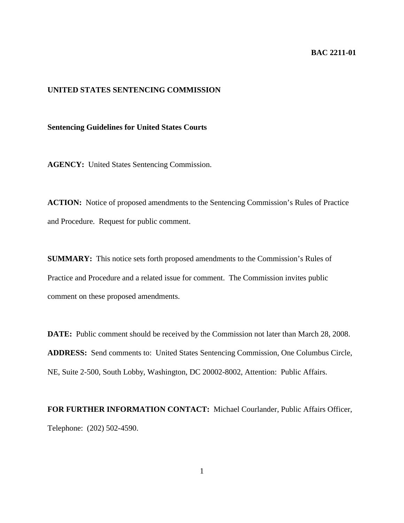## **BAC 2211-01**

## **UNITED STATES SENTENCING COMMISSION**

**Sentencing Guidelines for United States Courts**

**AGENCY:** United States Sentencing Commission.

**ACTION:** Notice of proposed amendments to the Sentencing Commission's Rules of Practice and Procedure. Request for public comment.

**SUMMARY:** This notice sets forth proposed amendments to the Commission's Rules of Practice and Procedure and a related issue for comment. The Commission invites public comment on these proposed amendments.

**DATE:** Public comment should be received by the Commission not later than March 28, 2008. **ADDRESS:** Send comments to: United States Sentencing Commission, One Columbus Circle, NE, Suite 2-500, South Lobby, Washington, DC 20002-8002, Attention: Public Affairs.

**FOR FURTHER INFORMATION CONTACT:** Michael Courlander, Public Affairs Officer, Telephone: (202) 502-4590.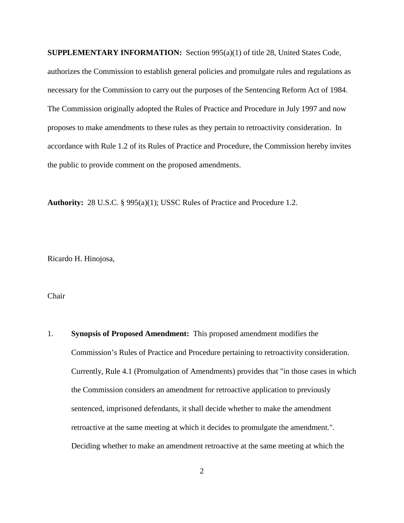**SUPPLEMENTARY INFORMATION:** Section 995(a)(1) of title 28, United States Code, authorizes the Commission to establish general policies and promulgate rules and regulations as necessary for the Commission to carry out the purposes of the Sentencing Reform Act of 1984. The Commission originally adopted the Rules of Practice and Procedure in July 1997 and now proposes to make amendments to these rules as they pertain to retroactivity consideration. In accordance with Rule 1.2 of its Rules of Practice and Procedure, the Commission hereby invites the public to provide comment on the proposed amendments.

**Authority:** 28 U.S.C. § 995(a)(1); USSC Rules of Practice and Procedure 1.2.

Ricardo H. Hinojosa,

Chair

1. **Synopsis of Proposed Amendment:** This proposed amendment modifies the Commission's Rules of Practice and Procedure pertaining to retroactivity consideration. Currently, Rule 4.1 (Promulgation of Amendments) provides that "in those cases in which the Commission considers an amendment for retroactive application to previously sentenced, imprisoned defendants, it shall decide whether to make the amendment retroactive at the same meeting at which it decides to promulgate the amendment.". Deciding whether to make an amendment retroactive at the same meeting at which the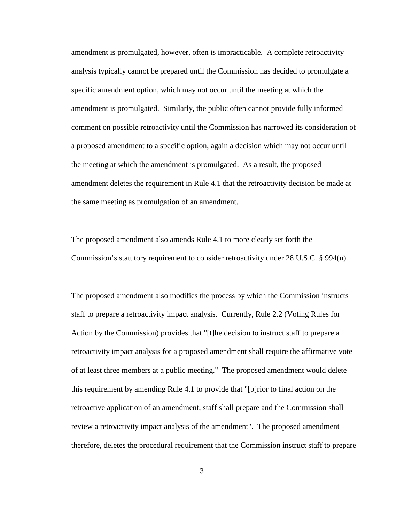amendment is promulgated, however, often is impracticable. A complete retroactivity analysis typically cannot be prepared until the Commission has decided to promulgate a specific amendment option, which may not occur until the meeting at which the amendment is promulgated. Similarly, the public often cannot provide fully informed comment on possible retroactivity until the Commission has narrowed its consideration of a proposed amendment to a specific option, again a decision which may not occur until the meeting at which the amendment is promulgated. As a result, the proposed amendment deletes the requirement in Rule 4.1 that the retroactivity decision be made at the same meeting as promulgation of an amendment.

The proposed amendment also amends Rule 4.1 to more clearly set forth the Commission's statutory requirement to consider retroactivity under 28 U.S.C. § 994(u).

The proposed amendment also modifies the process by which the Commission instructs staff to prepare a retroactivity impact analysis. Currently, Rule 2.2 (Voting Rules for Action by the Commission) provides that "[t]he decision to instruct staff to prepare a retroactivity impact analysis for a proposed amendment shall require the affirmative vote of at least three members at a public meeting." The proposed amendment would delete this requirement by amending Rule 4.1 to provide that "[p]rior to final action on the retroactive application of an amendment, staff shall prepare and the Commission shall review a retroactivity impact analysis of the amendment". The proposed amendment therefore, deletes the procedural requirement that the Commission instruct staff to prepare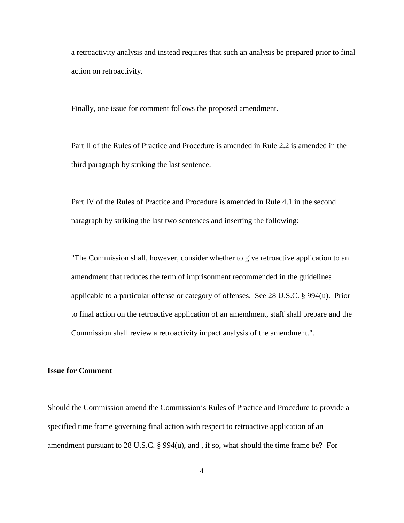a retroactivity analysis and instead requires that such an analysis be prepared prior to final action on retroactivity.

Finally, one issue for comment follows the proposed amendment.

Part II of the Rules of Practice and Procedure is amended in Rule 2.2 is amended in the third paragraph by striking the last sentence.

Part IV of the Rules of Practice and Procedure is amended in Rule 4.1 in the second paragraph by striking the last two sentences and inserting the following:

"The Commission shall, however, consider whether to give retroactive application to an amendment that reduces the term of imprisonment recommended in the guidelines applicable to a particular offense or category of offenses. See 28 U.S.C. § 994(u). Prior to final action on the retroactive application of an amendment, staff shall prepare and the Commission shall review a retroactivity impact analysis of the amendment.".

## **Issue for Comment**

Should the Commission amend the Commission's Rules of Practice and Procedure to provide a specified time frame governing final action with respect to retroactive application of an amendment pursuant to 28 U.S.C. § 994(u), and , if so, what should the time frame be? For